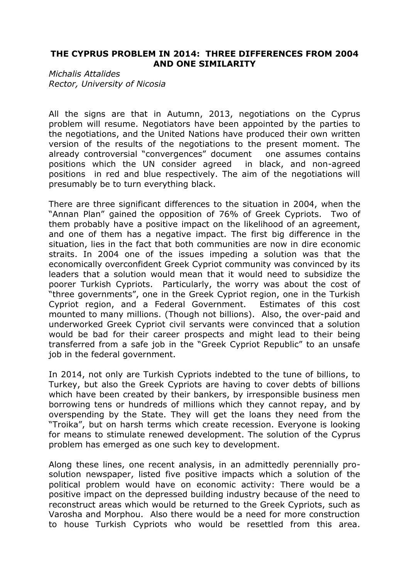## **THE CYPRUS PROBLEM IN 2014: THREE DIFFERENCES FROM 2004 AND ONE SIMILARITY**

*Michalis Attalides Rector, University of Nicosia*

All the signs are that in Autumn, 2013, negotiations on the Cyprus problem will resume. Negotiators have been appointed by the parties to the negotiations, and the United Nations have produced their own written version of the results of the negotiations to the present moment. The already controversial "convergences" document one assumes contains positions which the UN consider agreed in black, and non-agreed positions in red and blue respectively. The aim of the negotiations will presumably be to turn everything black.

There are three significant differences to the situation in 2004, when the "Annan Plan" gained the opposition of 76% of Greek Cypriots. Two of them probably have a positive impact on the likelihood of an agreement, and one of them has a negative impact. The first big difference in the situation, lies in the fact that both communities are now in dire economic straits. In 2004 one of the issues impeding a solution was that the economically overconfident Greek Cypriot community was convinced by its leaders that a solution would mean that it would need to subsidize the poorer Turkish Cypriots. Particularly, the worry was about the cost of "three governments", one in the Greek Cypriot region, one in the Turkish Cypriot region, and a Federal Government. Estimates of this cost mounted to many millions. (Though not billions). Also, the over-paid and underworked Greek Cypriot civil servants were convinced that a solution would be bad for their career prospects and might lead to their being transferred from a safe job in the "Greek Cypriot Republic" to an unsafe job in the federal government.

In 2014, not only are Turkish Cypriots indebted to the tune of billions, to Turkey, but also the Greek Cypriots are having to cover debts of billions which have been created by their bankers, by irresponsible business men borrowing tens or hundreds of millions which they cannot repay, and by overspending by the State. They will get the loans they need from the "Troika", but on harsh terms which create recession. Everyone is looking for means to stimulate renewed development. The solution of the Cyprus problem has emerged as one such key to development.

Along these lines, one recent analysis, in an admittedly perennially prosolution newspaper, listed five positive impacts which a solution of the political problem would have on economic activity: There would be a positive impact on the depressed building industry because of the need to reconstruct areas which would be returned to the Greek Cypriots, such as Varosha and Morphou. Also there would be a need for more construction to house Turkish Cypriots who would be resettled from this area.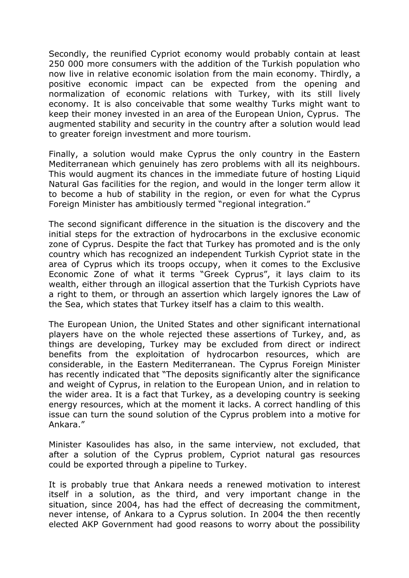Secondly, the reunified Cypriot economy would probably contain at least 250 000 more consumers with the addition of the Turkish population who now live in relative economic isolation from the main economy. Thirdly, a positive economic impact can be expected from the opening and normalization of economic relations with Turkey, with its still lively economy. It is also conceivable that some wealthy Turks might want to keep their money invested in an area of the European Union, Cyprus. The augmented stability and security in the country after a solution would lead to greater foreign investment and more tourism.

Finally, a solution would make Cyprus the only country in the Eastern Mediterranean which genuinely has zero problems with all its neighbours. This would augment its chances in the immediate future of hosting Liquid Natural Gas facilities for the region, and would in the longer term allow it to become a hub of stability in the region, or even for what the Cyprus Foreign Minister has ambitiously termed "regional integration."

The second significant difference in the situation is the discovery and the initial steps for the extraction of hydrocarbons in the exclusive economic zone of Cyprus. Despite the fact that Turkey has promoted and is the only country which has recognized an independent Turkish Cypriot state in the area of Cyprus which its troops occupy, when it comes to the Exclusive Economic Zone of what it terms "Greek Cyprus", it lays claim to its wealth, either through an illogical assertion that the Turkish Cypriots have a right to them, or through an assertion which largely ignores the Law of the Sea, which states that Turkey itself has a claim to this wealth.

The European Union, the United States and other significant international players have on the whole rejected these assertions of Turkey, and, as things are developing, Turkey may be excluded from direct or indirect benefits from the exploitation of hydrocarbon resources, which are considerable, in the Eastern Mediterranean. The Cyprus Foreign Minister has recently indicated that "The deposits significantly alter the significance and weight of Cyprus, in relation to the European Union, and in relation to the wider area. It is a fact that Turkey, as a developing country is seeking energy resources, which at the moment it lacks. A correct handling of this issue can turn the sound solution of the Cyprus problem into a motive for Ankara."

Minister Kasoulides has also, in the same interview, not excluded, that after a solution of the Cyprus problem, Cypriot natural gas resources could be exported through a pipeline to Turkey.

It is probably true that Ankara needs a renewed motivation to interest itself in a solution, as the third, and very important change in the situation, since 2004, has had the effect of decreasing the commitment, never intense, of Ankara to a Cyprus solution. In 2004 the then recently elected AKP Government had good reasons to worry about the possibility